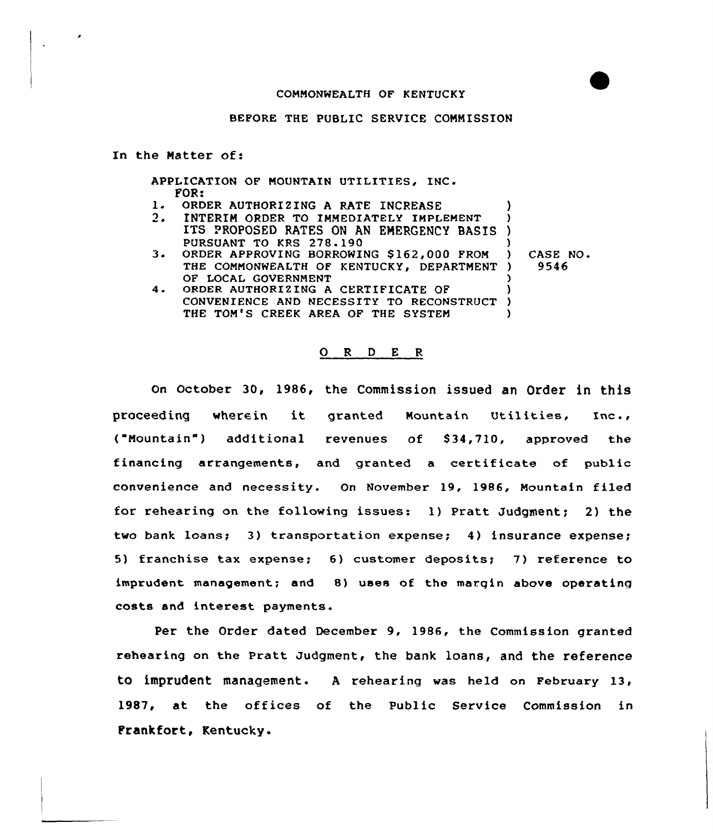## COMMONWEALTH OF KENTUCKY

#### BEFORE THE PUBLIC SERVICE CONNISSION

In the Natter of:

APPLICATION OF MOUNTAIN UTILITIES, INC. FOR:

- 1. ORDER AUTHORIZING A RATE INCREASE<br>2. INTERIM ORDER TO IMMEDIATELY IMPL
- INTERIM ORDER TO IMMEDIATELY IMPLEMENT ITS PROPOSED RATES ON AN ENERGENCY BASIS ) PURSUANT TO KRS 278 190
- 3. ORDER APPROVING BORROWING \$162,000 FROM THE COMMONWEALTH OF KENTUCKY. DEPARTMENT ) OF LOCAL GOVERNMENT ) ) CASE NO <sup>~</sup> ) 9546 )

) )

4. ORDER AUTHORIZING A CERTIFICATE OF CONVENIENCE AND NECESSITY TO RECONSTRUCT THE TOM'S CREEK AREA OF THE SYSTEM ) )  $\lambda$ 

## 0 <sup>R</sup> <sup>D</sup> E <sup>R</sup>

on october 30, 1986, the commission issued an Order in this proceeding wherein it granted Mountain Utilities, Inc., ("Mountain") additional revenues of S34,710, approved the financing arrangements, and granted a certificate of public convenience and necessity. On November 19, 1986, Mountain filed for rehearing on the following issues: 1) Pratt Judgment; 2) the two bank loans; 3) transportation expense; 4) insurance expense; 5) franchise tax expense; 6) customer depositsy 7) reference to imprudent management; and 8) uses of the margin above operating costs and interest payments

Per the Order dated December 9, 1986, the Commission granted rehearing on the Pratt Judgment, the bank loans, and the reference to imprudent management. A rehearing was held on February 13, 1987, at the offices of the Public Service Commission in Frankfort, Kentucky.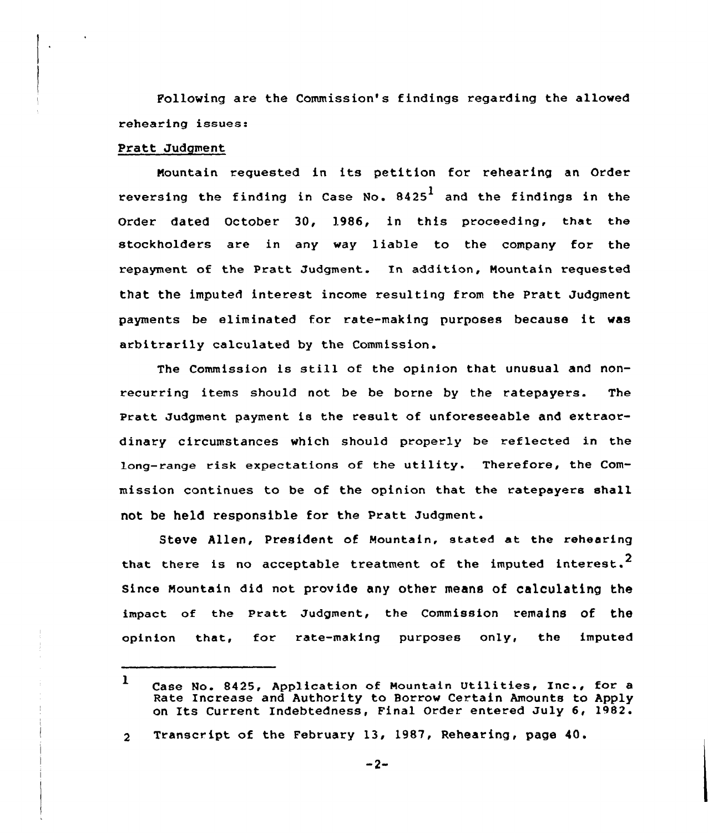Following are the Commission's findings regarding the allowed rehearing issues.

# Pratt Judgment

Mountain requested in its petition for rehearing an Order reversing the finding in Case No.  $8425<sup>1</sup>$  and the findings in the Order dated October 30, 1986, in this proceeding, that the stockholders are in any way liable to the company for the repayment of the Pratt Judgment. In addition, Mountain requested that the imputed interest income resulting from the Pratt Judgment payments be eliminated for rate-making purposes because it was arbitrarily calculated by the Commission .

The Commission is still of the opinion that unusual and nonrecurring items should not be be borne by the ratepayers. The Pratt Judgment payment is the result of unforeseeable and extraordinary circumstances which should properly be reflected in the long-range risk expectations of the utility. Therefore, the Commission continues to be of the opinion that the ratepayers shall not be held responsible for the Pratt Judgment.

Steve Allen, President of Mountain, stated at the rehearing that there is no acceptable treatment of the imputed interest.<sup>2</sup> Since Mountain did not provide any other means of calculating the impact of the Pratt Judgment, the commission remains of the opinion that, for rate-making purposes only, the imputed

<sup>1</sup> Case No. 8425, Application of Mountain Utilities, Inc., for <sup>a</sup> Rate Increase and Authority to Borrow Certain Amounts to Apply on Its Current Indebtedness, Final Order entered July 6, 1982.

Transcript of the February 13, 1987, Rehearing, page 40. $\mathbf{2}$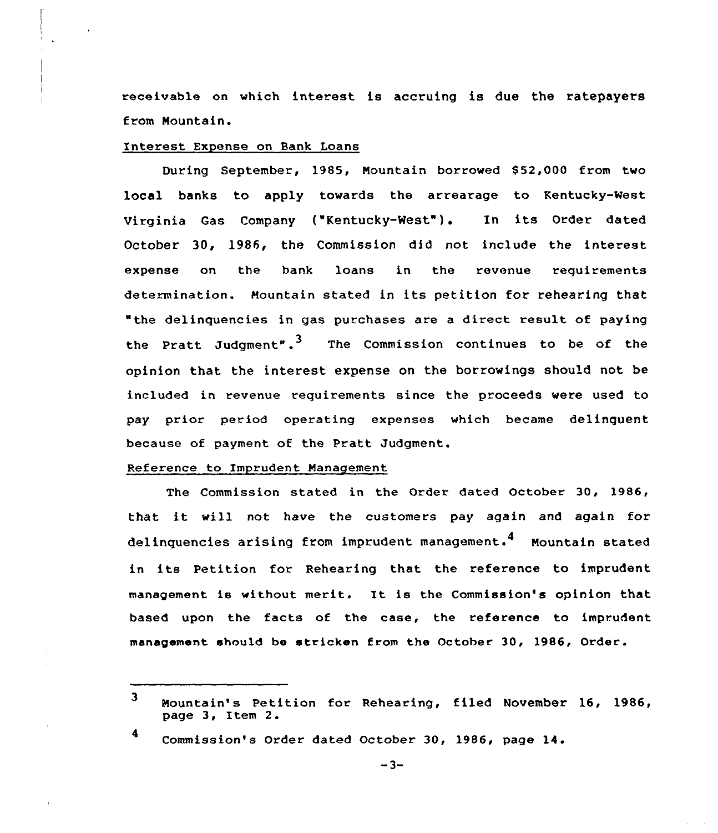receivable on which interest is accruing is due the ratepayers from Mountain.

## Interest Expense on Bank Loans

During September, 1985, Mountain borrowed \$52,000 from two local banks to apply towards the arrearage to Kentucky-West Virginia Gas Company ("Kentucky-West"). In its Order dated October 30, 1986, the Commission did not include the interest expense on the bank loans in the revenue requirements determination. Mountain stated in its petition for rehearing that "the delinquencies in gas purchases are a direct result of paying the Pratt Judgment".<sup>3</sup> The Commission continues to be of the opinion that the interest expense on the borrowings should not be included in revenue requirements since the proceeds were used to pay prior period operating expenses which became delinquent because of payment of the Pratt Judgment.

# Reference to Imprudent Management

The Commission stated in the Order dated October 30, 1986, that it vill not have the customers pay again and again for delinquencies arising from imprudent management.<sup>4</sup> Mountain stated in its Petition for Rehearing that the reference to imprudent management is without merit. It is the Commission's opinion that based upon the facts of the case, the reference to imprudent management should be stricken from the October 30, 1986, Order.

Commission's Order dated October 30, 1986, page 14.

 $\overline{\mathbf{3}}$ Mountain's Petition for Rehearing, filed November 16, 1986, page 3, Item 2.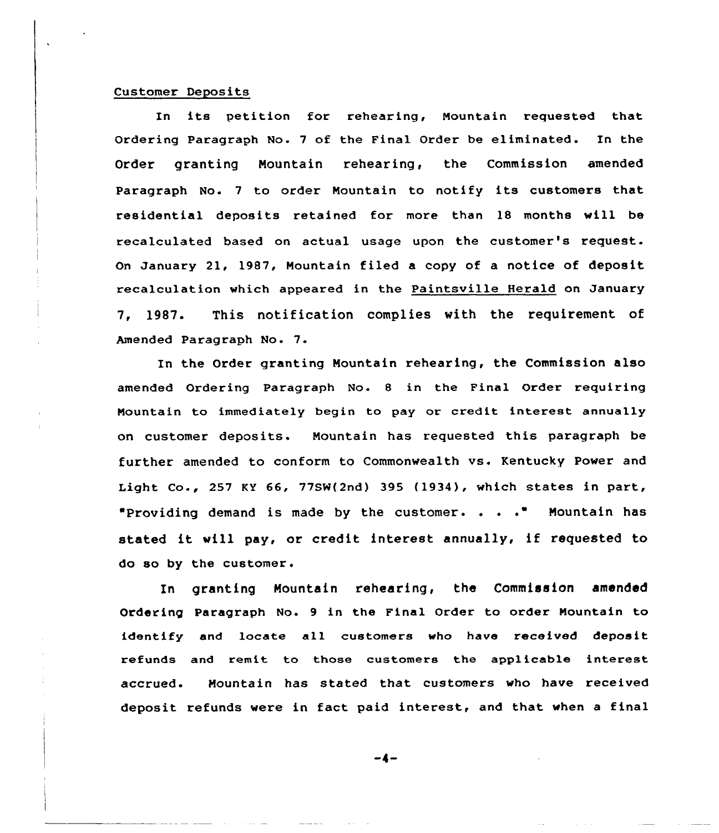#### Customer Deposits

In its petition for rehearing, Nountain requested that Ordering Paragraph No. 7 of the Final Order be eliminated. In the Order granting Mountain rehearing, the Commission amended Paragraph No. <sup>7</sup> to order Nountain to notify its customers that residential deposits retained for more than 18 months vill be recalculated based on actual usage upon the customer's xeguest. On January 21, 1987, Mountain filed a copy of a notice of deposit recalculation vhich appeared in the Paintsville Herald on January 7, 1987. This notification complies with the requirement of Amended Paragraph No. 7.

In the Order granting Mountain rehearing, the Commission also amended Ordering Paragraph No. 8 in the Final Order requiring Mountain to immediately begin to pay or credit interest annually on customer deposits. Nountain has requested this paragraph be further amended to conform to Commonwealth vs. Kentucky Power and Light Co., 257 KY 66, 77SW(2nd) 395 {1934), which states in part, "Providing demand is made by the customer. . . . " Mountain has stated it will pay, or credit interest annually, if requested to do so by the customer.

In granting Mountain rehearing, the Commission amended Ordering Paragraph No. 9 in the Final Order to order Mountain to identify and locate all customers vho have received deposit refunds and remit to those customers the applicable interest accrued. Mountain has stated that customers who have received deposit refunds vere in fact paid interest, and that vhen a final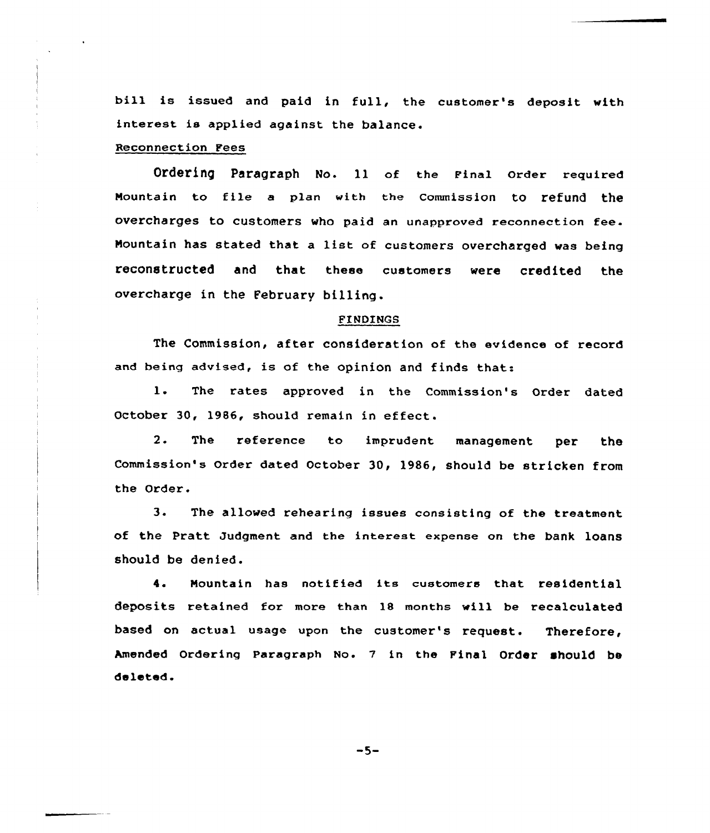bill is issued and paid in full, the customer's deposit with interest is applied against the balance.

Reconnection Fees

Ordering paragraph NO. 11 of the Final Order required Mountain to file a plan with the Commission to refund the overcharges to customers who paid an unapproved reconnection fee. Nountain has stated that <sup>a</sup> list of customers overcharged was being reconstructed and that these customers were credited the overcharge in the February billing.

## FINDINGS

The Commission, after consideration of the evidence of record and being advised, is of the opinion and finds that:

1. The rates approved in the Commission's Order dated October 30, 1986, should remain in effect.

2. The reference to imprudent management per the Commission's Order dated October 30, 1986, should be stricken from the Order.

3. The allowed rehearing issues consisting of the treatment of the Pratt Judgment and the interest expense on the bank loans should be denied.

4. Nountain has notified its customers that residential deposits retained for more than 18 months will be recalculated based on actual usage upon the customer's request. Therefore, Amended Ordering Paragraph No. 7 in the Final Order should be deleted.

 $-5-$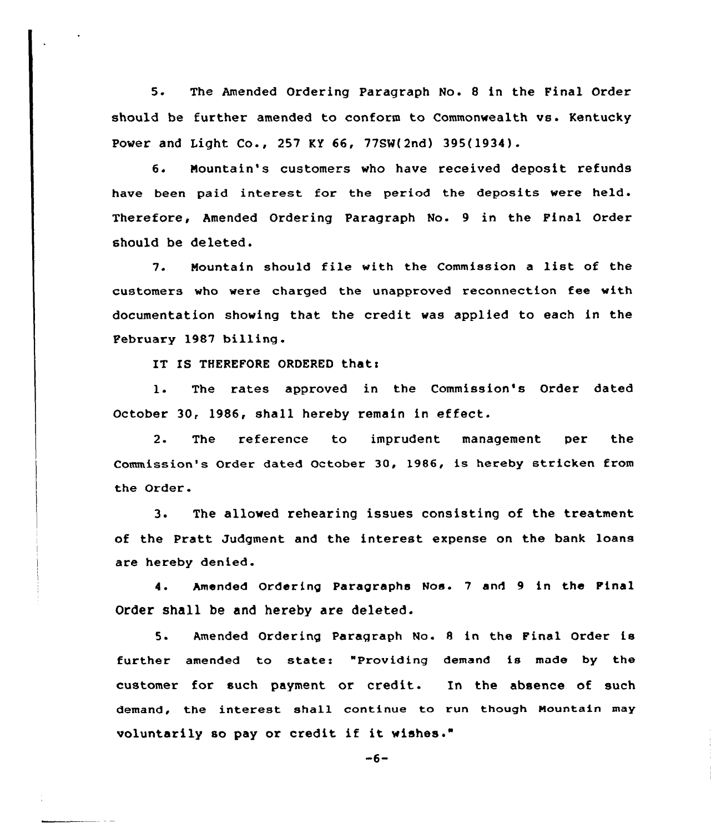5. The Amended Ordering Paragraph No. <sup>8</sup> in the Final Order should be further amended to conform to Commonwealth vs. Kentucky Power and Light Co., 257 KY 66, 77SN(2nd) 395(1934).

6. Mountain's customers who have received deposit refunds have been paid interest for the period the deposits were held. Therefore, Amended Ordering Paragraph No. 9 in the Final Order should be deleted.

7. Mountain should file with the Commission <sup>a</sup> list of the customers who were charged the unapproved reconnection fee with documentation showing that the credit was applied to each in the February l987 billing.

IT IS THEREFORE ORDERED that:

l. The rates approved in the Commission's Order dated October 30, 1986, shall hereby remain in effect.

2. The reference to imprudent management per the Commission's Order dated October 30, 1986, is hereby stricken from the Order-

3. The allowed rehearing issues consisting of the treatment of the Pratt Judgment and the interest expense on the bank loans are hereby denied.

4. Amended Ordering Paragraphs Nos. <sup>7</sup> and 9 in the Pinal Order shall be and hereby are deleted.

5. Amended Ordering Paragraph No. <sup>8</sup> in the Final Order is further amended to states "Providing demand is made by the customer for such payment or credit. In the absence of such demand, the interest shall continue to run though Mountain may voluntarily so pay or credit if it wishes."

 $-6-$